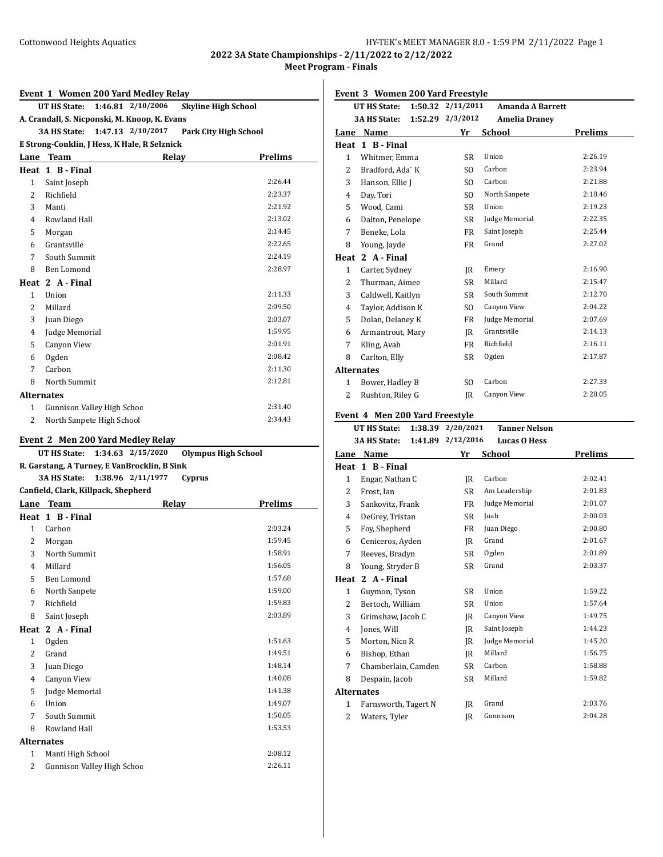**2022 3A State Championships - 2/11/2022 to 2/12/2022 Meet Program - Finals**

#### **Event 1 Women 200 Yard Medley Relay**

**UT HS State: 1:46.81 2/10/2006 Skyline High School**

**A. Crandall, S. Nicponski, M. Knoop, K. Evans**

**3A HS State: 1:47.13 2/10/2017 Park City High School**

# **E Strong-Conklin, J Hess, K Hale, R Selznick**

| Lane              | Team                       | Relay | <b>Prelims</b> |
|-------------------|----------------------------|-------|----------------|
| Heat              | 1 B - Final                |       |                |
| 1                 | Saint Joseph               |       | 2:26.44        |
| 2                 | Richfield                  |       | 2:23.37        |
| 3                 | Manti                      |       | 2:21.92        |
| $\overline{4}$    | Rowland Hall               |       | 2:13.02        |
| 5                 | Morgan                     |       | 2:14.45        |
| 6                 | Grantsville                |       | 2:22.65        |
| 7                 | South Summit               |       | 2:24.19        |
| 8                 | Ben Lomond                 |       | 2:28.97        |
|                   | Heat 2 A - Final           |       |                |
| 1                 | Union                      |       | 2:11.33        |
| 2                 | Millard                    |       | 2:09.50        |
| 3                 | Juan Diego                 |       | 2:03.07        |
| $\overline{4}$    | Judge Memorial             |       | 1:59.95        |
| 5                 | Canyon View                |       | 2:01.91        |
| 6                 | Ogden                      |       | 2:08.42        |
| 7                 | Carbon                     |       | 2:11.30        |
| 8                 | North Summit               |       | 2:12.81        |
| <b>Alternates</b> |                            |       |                |
| 1                 | Gunnison Valley High Schoc |       | 2:31.40        |
| 2                 | North Sanpete High School  |       | 2:34.43        |
|                   |                            |       |                |

# **Event 2 Men 200 Yard Medley Relay**

|                                     | Event 2 Men 200 rard mediey Relay                               |                   |        |                |  |  |
|-------------------------------------|-----------------------------------------------------------------|-------------------|--------|----------------|--|--|
|                                     | 1:34.63 2/15/2020<br><b>Olympus High School</b><br>UT HS State: |                   |        |                |  |  |
|                                     | R. Garstang, A Turney, E VanBrocklin, B Sink                    |                   |        |                |  |  |
|                                     | <b>3A HS State:</b>                                             | 1:38.96 2/11/1977 | Cyprus |                |  |  |
| Canfield, Clark, Killpack, Shepherd |                                                                 |                   |        |                |  |  |
|                                     | Lane Team                                                       | Relay             |        | <b>Prelims</b> |  |  |
|                                     | Heat 1 B - Final                                                |                   |        |                |  |  |
| $\mathbf{1}$                        | Carbon                                                          |                   |        | 2:03.24        |  |  |
| 2                                   | Morgan                                                          |                   |        | 1:59.45        |  |  |
| 3                                   | North Summit                                                    |                   |        | 1:58.91        |  |  |
| 4                                   | Millard                                                         |                   |        | 1:56.05        |  |  |
| 5                                   | Ben Lomond                                                      |                   |        | 1:57.68        |  |  |
| 6                                   | North Sanpete                                                   |                   |        | 1:59.00        |  |  |
| 7                                   | Richfield                                                       |                   |        | 1:59.83        |  |  |
| 8                                   | Saint Joseph                                                    |                   |        | 2:03.89        |  |  |
| Heat                                | 2 A - Final                                                     |                   |        |                |  |  |
| $\mathbf{1}$                        | Ogden                                                           |                   |        | 1:51.63        |  |  |
| $\overline{2}$                      | Grand                                                           |                   |        | 1:49.51        |  |  |
| 3                                   | Juan Diego                                                      |                   |        | 1:48.14        |  |  |
| 4                                   | <b>Canyon View</b>                                              |                   |        | 1:40.08        |  |  |
| 5                                   | Judge Memorial                                                  |                   |        | 1:41.38        |  |  |
| 6                                   | Union                                                           |                   |        | 1:49.07        |  |  |
| 7                                   | South Summit                                                    |                   |        | 1:50.05        |  |  |
| 8                                   | Rowland Hall                                                    |                   |        | 1:53.53        |  |  |
| <b>Alternates</b>                   |                                                                 |                   |        |                |  |  |
| 1                                   | Manti High School                                               |                   |        | 2:08.12        |  |  |
| 2                                   | Gunnison Valley High Schoc                                      |                   |        | 2:26.11        |  |  |
|                                     |                                                                 |                   |        |                |  |  |

**Event 3 Women 200 Yard Freestyle**

|              | 1:50.32<br>UT HS State: | 2/11/2011        | <b>Amanda A Barrett</b> |         |
|--------------|-------------------------|------------------|-------------------------|---------|
|              | <b>3A HS State:</b>     | 1:52.29 2/3/2012 | <b>Amelia Dranev</b>    |         |
| Lane         | Name                    | Yr               | <b>School</b>           | Prelims |
| Heat         | 1 B - Final             |                  |                         |         |
| $\mathbf{1}$ | Whitmer, Emma           | <b>SR</b>        | Union                   | 2:26.19 |
| 2            | Bradford, Ada`K         | SO.              | Carbon                  | 2:23.94 |
| 3            | Hanson, Ellie J         | SO.              | Carbon                  | 2:21.88 |
| 4            | Day, Tori               | SO.              | North Sanpete           | 2:18.46 |
| 5            | Wood, Cami              | <b>SR</b>        | Union                   | 2:19.23 |
| 6            | Dalton, Penelope        | <b>SR</b>        | Judge Memorial          | 2:22.35 |
| 7            | Beneke, Lola            | <b>FR</b>        | Saint Joseph            | 2:25.44 |
| 8            | Young, Jayde            | FR               | Grand                   | 2:27.02 |
| Heat         | 2 A - Final             |                  |                         |         |
| $\mathbf{1}$ | Carter, Sydney          | IR               | Emery                   | 2:16.90 |
| 2            | Thurman, Aimee          | <b>SR</b>        | Millard                 | 2:15.47 |
| 3            | Caldwell, Kaitlyn       | SR               | South Summit            | 2:12.70 |
| 4            | Taylor, Addison K       | SO.              | Canyon View             | 2:04.22 |
| 5            | Dolan, Delaney K        | <b>FR</b>        | Judge Memorial          | 2:07.69 |
| 6            | Armantrout, Mary        | IR               | Grantsville             | 2:14.13 |
| 7            | Kling, Avah             | <b>FR</b>        | Richfield               | 2:16.11 |
| 8            | Carlton, Elly           | <b>SR</b>        | Ogden                   | 2:17.87 |
|              | <b>Alternates</b>       |                  |                         |         |
| $\mathbf{1}$ | Bower, Hadley B         | SO.              | Carbon                  | 2:27.33 |
| 2            | Rushton, Riley G        | IR               | Canyon View             | 2:28.05 |
|              |                         |                  |                         |         |

#### **Event 4 Men 200 Yard Freestyle**

|                   | 1:38.39<br><b>UT HS State:</b> | 2/20/2021         | <b>Tanner Nelson</b> |         |
|-------------------|--------------------------------|-------------------|----------------------|---------|
|                   | <b>3A HS State:</b>            | 1:41.89 2/12/2016 | <b>Lucas O Hess</b>  |         |
| Lane              | Name                           | Yr                | School               | Prelims |
| Heat              | 1 B - Final                    |                   |                      |         |
| $\mathbf{1}$      | Engar, Nathan C                | IR                | Carbon               | 2:02.41 |
| 2                 | Frost, Ian                     | SR                | Am Leadership        | 2:01.83 |
| 3                 | Sankovitz, Frank               | <b>FR</b>         | Judge Memorial       | 2:01.07 |
| 4                 | DeGrey, Tristan                | SR                | Juab                 | 2:00.03 |
| 5                 | Foy, Shepherd                  | <b>FR</b>         | Juan Diego           | 2:00.80 |
| 6                 | Ceniceros, Ayden               | IR                | Grand                | 2:01.67 |
| 7                 | Reeves, Bradyn                 | SR                | Ogden                | 2:01.89 |
| 8                 | Young, Stryder B               | SR                | Grand                | 2:03.37 |
| Heat              | 2 A - Final                    |                   |                      |         |
| $\mathbf{1}$      | Guymon, Tyson                  | SR                | Union                | 1:59.22 |
| 2                 | Bertoch, William               | SR                | Union                | 1:57.64 |
| 3                 | Grimshaw, Jacob C              | IR                | Canyon View          | 1:49.75 |
| 4                 | Jones, Will                    | IR                | Saint Joseph         | 1:44.23 |
| 5                 | Morton, Nico R                 | IR                | Judge Memorial       | 1:45.20 |
| 6                 | Bishop, Ethan                  | IR                | Millard              | 1:56.75 |
| 7                 | Chamberlain, Camden            | SR                | Carbon               | 1:58.88 |
| 8                 | Despain, Jacob                 | SR                | Millard              | 1:59.82 |
| <b>Alternates</b> |                                |                   |                      |         |
| 1                 | Farnsworth, Tagert N           | IR                | Grand                | 2:03.76 |
| 2                 | Waters, Tyler                  | IR                | Gunnison             | 2:04.28 |
|                   |                                |                   |                      |         |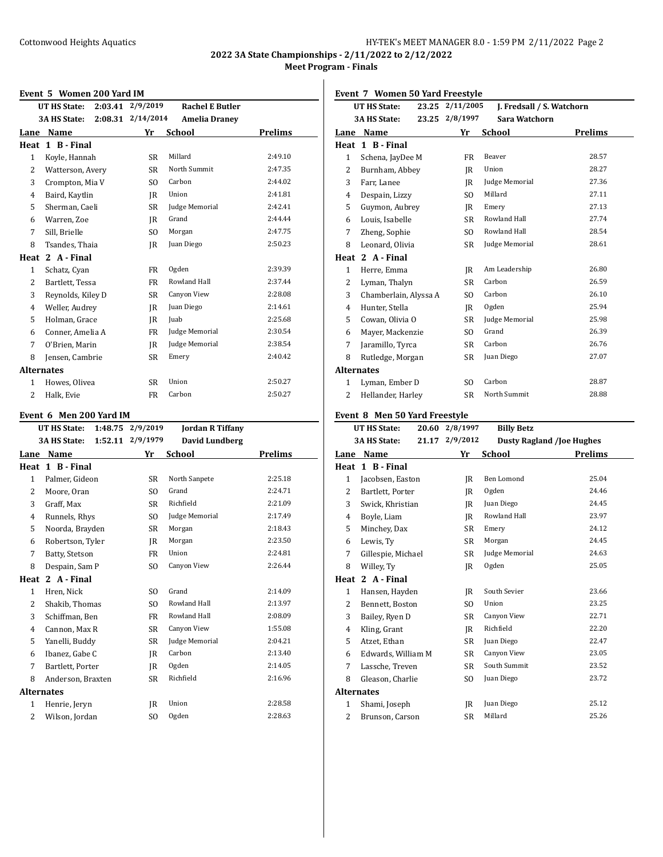**2022 3A State Championships - 2/11/2022 to 2/12/2022 Meet Program - Finals**

#### **Event 5 Women 200 Yard IM**

| Event 5 Women zou falu ny |                     |                   |                        |         |  |
|---------------------------|---------------------|-------------------|------------------------|---------|--|
|                           | UT HS State:        | 2:03.41 2/9/2019  | <b>Rachel E Butler</b> |         |  |
|                           | <b>3A HS State:</b> | 2:08.31 2/14/2014 | <b>Amelia Draney</b>   |         |  |
| Lane                      | Name                | Yr                | School                 | Prelims |  |
| Heat                      | 1 B - Final         |                   |                        |         |  |
| $\mathbf{1}$              | Koyle, Hannah       | SR                | Millard                | 2:49.10 |  |
| 2                         | Watterson, Avery    | SR.               | North Summit           | 2:47.35 |  |
| 3                         | Crompton, Mia V     | SO.               | Carbon                 | 2:44.02 |  |
| 4                         | Baird, Kaytlin      | IR                | Union                  | 2:41.81 |  |
| 5                         | Sherman, Caeli      | SR.               | Judge Memorial         | 2:42.41 |  |
| 6                         | Warren, Zoe         | IR                | Grand                  | 2:44.44 |  |
| 7                         | Sill, Brielle       | SO.               | Morgan                 | 2:47.75 |  |
| 8                         | Tsandes, Thaia      | IR                | Juan Diego             | 2:50.23 |  |
| Heat                      | 2 A - Final         |                   |                        |         |  |
| $\mathbf{1}$              | Schatz, Cyan        | FR                | Ogden                  | 2:39.39 |  |
| 2                         | Bartlett, Tessa     | FR                | Rowland Hall           | 2:37.44 |  |
| 3                         | Reynolds, Kiley D   | SR                | Canyon View            | 2:28.08 |  |
| 4                         | Weller, Audrey      | IR                | Juan Diego             | 2:14.61 |  |
| 5                         | Holman, Grace       | IR                | Juab                   | 2:25.68 |  |
| 6                         | Conner, Amelia A    | <b>FR</b>         | Judge Memorial         | 2:30.54 |  |
| 7                         | O'Brien, Marin      | IR                | Judge Memorial         | 2:38.54 |  |
| 8                         | Jensen, Cambrie     | SR                | Emery                  | 2:40.42 |  |
| <b>Alternates</b>         |                     |                   |                        |         |  |
| 1                         | Howes, Olivea       | <b>SR</b>         | Union                  | 2:50.27 |  |
| 2                         | Halk, Evie          | <b>FR</b>         | Carbon                 | 2:50.27 |  |
|                           |                     |                   |                        |         |  |

### **Event 6 Men 200 Yard IM**

|              | <b>UT HS State:</b><br>1:48.75 | 2/9/2019       | <b>Jordan R Tiffany</b> |         |
|--------------|--------------------------------|----------------|-------------------------|---------|
|              | <b>3A HS State:</b><br>1:52.11 | 2/9/1979       | David Lundberg          |         |
| Lane         | Name                           | Yr             | School                  | Prelims |
| Heat         | 1 B - Final                    |                |                         |         |
| $\mathbf{1}$ | Palmer, Gideon                 | <b>SR</b>      | North Sanpete           | 2:25.18 |
| 2            | Moore, Oran                    | S <sub>O</sub> | Grand                   | 2:24.71 |
| 3            | Graff, Max                     | <b>SR</b>      | Richfield               | 2:21.09 |
| 4            | Runnels, Rhys                  | SO.            | Judge Memorial          | 2:17.49 |
| 5            | Noorda, Brayden                | <b>SR</b>      | Morgan                  | 2:18.43 |
| 6            | Robertson, Tyler               | IR             | Morgan                  | 2:23.50 |
| 7            | Batty, Stetson                 | FR             | Union                   | 2:24.81 |
| 8            | Despain, Sam P                 | S <sub>O</sub> | Canyon View             | 2:26.44 |
| Heat         | 2 A - Final                    |                |                         |         |
| $\mathbf{1}$ | Hren, Nick                     | SO.            | Grand                   | 2:14.09 |
| 2            | Shakib, Thomas                 | S <sub>O</sub> | Rowland Hall            | 2:13.97 |
| 3            | Schiffman, Ben                 | FR             | Rowland Hall            | 2:08.09 |
| 4            | Cannon, Max R                  | <b>SR</b>      | Canyon View             | 1:55.08 |
| 5            | Yanelli, Buddy                 | <b>SR</b>      | Judge Memorial          | 2:04.21 |
| 6            | Ibanez, Gabe C                 | IR             | Carbon                  | 2:13.40 |
| 7            | Bartlett, Porter               | IR             | Ogden                   | 2:14.05 |
| 8            | Anderson, Braxten              | SR             | Richfield               | 2:16.96 |
|              | <b>Alternates</b>              |                |                         |         |
| 1            | Henrie, Jeryn                  | IR             | Union                   | 2:28.58 |
| 2            | Wilson, Jordan                 | S <sub>O</sub> | Ogden                   | 2:28.63 |

### **Event 7 Women 50 Yard Freestyle**

|                | <b>UT HS State:</b>           | 23.25 2/11/2005 | J. Fredsall / S. Watchorn        |                |
|----------------|-------------------------------|-----------------|----------------------------------|----------------|
|                | <b>3A HS State:</b><br>23.25  | 2/8/1997        | Sara Watchorn                    |                |
| Lane           | Name                          | Yr              | <b>School</b>                    | <b>Prelims</b> |
|                | Heat 1 B-Final                |                 |                                  |                |
| 1              | Schena, JayDee M              | <b>FR</b>       | Beaver                           | 28.57          |
| $\overline{2}$ | Burnham, Abbey                | IR              | Union                            | 28.27          |
| 3              | Farr, Lanee                   | IR              | Judge Memorial                   | 27.36          |
| 4              | Despain, Lizzy                | SO.             | Millard                          | 27.11          |
| 5              | Guymon, Aubrey                | IR              | Emery                            | 27.13          |
| 6              | Louis, Isabelle               | <b>SR</b>       | Rowland Hall                     | 27.74          |
| 7              | Zheng, Sophie                 | SO.             | Rowland Hall                     | 28.54          |
| 8              | Leonard, Olivia               | <b>SR</b>       | Judge Memorial                   | 28.61          |
|                | Heat 2 A - Final              |                 |                                  |                |
| $\mathbf{1}$   | Herre, Emma                   | IR              | Am Leadership                    | 26.80          |
| 2              | Lyman, Thalyn                 | SR              | Carbon                           | 26.59          |
| 3              | Chamberlain, Alyssa A         | SO.             | Carbon                           | 26.10          |
| 4              | Hunter, Stella                | IR              | Ogden                            | 25.94          |
| 5              | Cowan, Olivia O               | <b>SR</b>       | Judge Memorial                   | 25.98          |
| 6              | Mayer, Mackenzie              | S <sub>O</sub>  | Grand                            | 26.39          |
| 7              | Jaramillo, Tyrca              | SR              | Carbon                           | 26.76          |
| 8              | Rutledge, Morgan              | SR              | Juan Diego                       | 27.07          |
| Alternates     |                               |                 |                                  |                |
| 1              | Lyman, Ember D                | S <sub>O</sub>  | Carbon                           | 28.87          |
| 2              | Hellander, Harley             | <b>SR</b>       | North Summit                     | 28.88          |
|                |                               |                 |                                  |                |
|                | Event 8 Men 50 Yard Freestyle |                 |                                  |                |
|                | 20.60<br><b>UT HS State:</b>  | 2/8/1997        | <b>Billy Betz</b>                |                |
|                | <b>3A HS State:</b>           | 21.17 2/9/2012  | <b>Dusty Ragland /Joe Hughes</b> |                |
| Lane           | Name                          | Yr              | <b>School</b>                    | <b>Prelims</b> |
|                | Heat 1 B-Final                |                 |                                  |                |
| $\mathbf{1}$   | Jacobsen, Easton              | IR              | Ben Lomond                       | 25.04          |
| $\sim$         | $D = 1.44$ $D = 1.44$         | $\mathbf{r}$    | 0 <sub>rdon</sub>                | 2115           |

| 1                 | Jacobsen, Easton   | IR  | Ben Lomond     | 25.04 |
|-------------------|--------------------|-----|----------------|-------|
| 2                 | Bartlett, Porter   | IR  | Ogden          | 24.46 |
| 3                 | Swick, Khristian   | IR  | Juan Diego     | 24.45 |
| 4                 | Boyle, Liam        | IR  | Rowland Hall   | 23.97 |
| 5                 | Minchey, Dax       | SR  | Emery          | 24.12 |
| 6                 | Lewis, Ty          | SR  | Morgan         | 24.45 |
| 7                 | Gillespie, Michael | SR  | Judge Memorial | 24.63 |
| 8                 | Willey, Ty         | IR  | Ogden          | 25.05 |
| Heat              | 2 A - Final        |     |                |       |
| $\mathbf{1}$      | Hansen, Hayden     | JR  | South Sevier   | 23.66 |
| 2                 | Bennett, Boston    | SO. | Union          | 23.25 |
| 3                 | Bailey, Ryen D     | SR  | Canyon View    | 22.71 |
| 4                 | Kling, Grant       | IR  | Richfield      | 22.20 |
| 5                 | Atzet, Ethan       | SR  | Juan Diego     | 22.47 |
| 6                 | Edwards, William M | SR  | Canyon View    | 23.05 |
| 7                 | Lassche, Treven    | SR  | South Summit   | 23.52 |
| 8                 | Gleason, Charlie   | SO. | Juan Diego     | 23.72 |
| <b>Alternates</b> |                    |     |                |       |
| 1                 | Shami, Joseph      | IR  | Juan Diego     | 25.12 |
| 2                 | Brunson, Carson    | SR  | Millard        | 25.26 |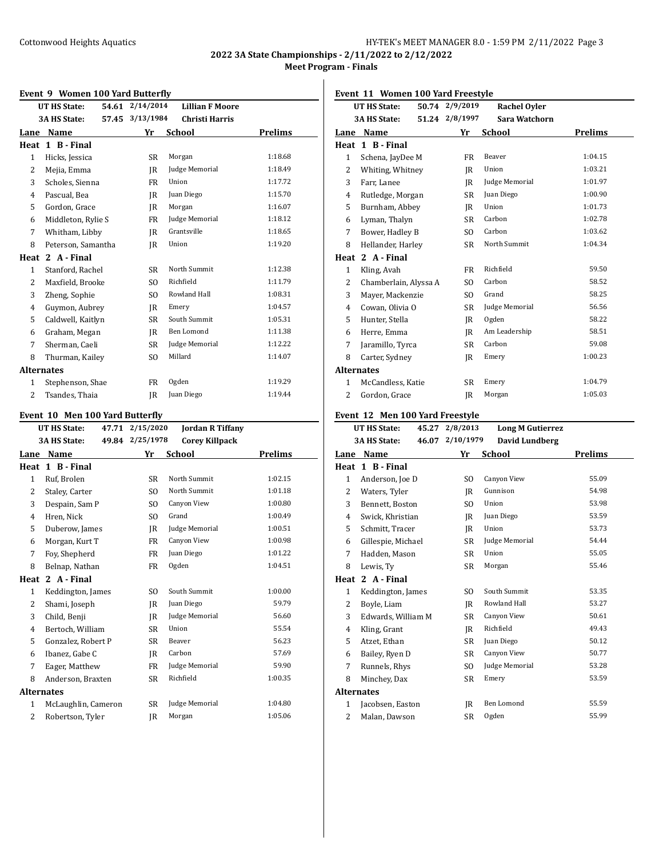**2022 3A State Championships - 2/11/2022 to 2/12/2022 Meet Program - Finals**

#### **Event 9 Women 100 Yard Butterfly**

|                   | LVEIIU 7 WONIEN 100 IAIU DUILEI NY |                 |                        |         |
|-------------------|------------------------------------|-----------------|------------------------|---------|
|                   | 54.61<br>UT HS State:              | 2/14/2014       | <b>Lillian F Moore</b> |         |
|                   | <b>3A HS State:</b>                | 57.45 3/13/1984 | <b>Christi Harris</b>  |         |
| Lane              | Name                               | Yr              | School                 | Prelims |
| Heat              | 1 B - Final                        |                 |                        |         |
| $\mathbf{1}$      | Hicks, Jessica                     | SR              | Morgan                 | 1:18.68 |
| $\overline{2}$    | Mejia, Emma                        | IR              | Judge Memorial         | 1:18.49 |
| 3                 | Scholes, Sienna                    | FR              | Union                  | 1:17.72 |
| $\overline{4}$    | Pascual, Bea                       | IR              | Juan Diego             | 1:15.70 |
| 5                 | Gordon, Grace                      | IR              | Morgan                 | 1:16.07 |
| 6                 | Middleton, Rylie S                 | FR              | Judge Memorial         | 1:18.12 |
| 7                 | Whitham, Libby                     | IR              | Grantsville            | 1:18.65 |
| 8                 | Peterson, Samantha                 | IR              | Union                  | 1:19.20 |
| Heat              | 2 A - Final                        |                 |                        |         |
| $\mathbf{1}$      | Stanford, Rachel                   | SR              | North Summit           | 1:12.38 |
| 2                 | Maxfield, Brooke                   | SO.             | Richfield              | 1:11.79 |
| 3                 | Zheng, Sophie                      | SO.             | Rowland Hall           | 1:08.31 |
| $\overline{4}$    | Guymon, Aubrey                     | IR              | Emery                  | 1:04.57 |
| 5                 | Caldwell, Kaitlyn                  | <b>SR</b>       | South Summit           | 1:05.31 |
| 6                 | Graham, Megan                      | <b>IR</b>       | Ben Lomond             | 1:11.38 |
| 7                 | Sherman, Caeli                     | SR              | Judge Memorial         | 1:12.22 |
| 8                 | Thurman, Kailey                    | S <sub>O</sub>  | Millard                | 1:14.07 |
| <b>Alternates</b> |                                    |                 |                        |         |
| 1                 | Stephenson, Shae                   | FR              | Ogden                  | 1:19.29 |
| 2                 | Tsandes, Thaia                     | IR              | Juan Diego             | 1:19.44 |
|                   |                                    |                 |                        |         |

### **Event 10 Men 100 Yard Butterfly**

|                   | cht To Mch Too laru Dutterny<br>UT HS State: | 47.71 2/15/2020 | <b>Jordan R Tiffany</b> |         |
|-------------------|----------------------------------------------|-----------------|-------------------------|---------|
|                   | <b>3A HS State:</b>                          | 49.84 2/25/1978 | <b>Corey Killpack</b>   |         |
| Lane              | Name                                         | Yr              | <b>School</b>           | Prelims |
| Heat              | 1 B - Final                                  |                 |                         |         |
| 1                 | Ruf, Brolen                                  | <b>SR</b>       | North Summit            | 1:02.15 |
| $\overline{2}$    | Staley, Carter                               | S <sub>O</sub>  | North Summit            | 1:01.18 |
| 3                 | Despain, Sam P                               | S <sub>O</sub>  | Canyon View             | 1:00.80 |
| 4                 | Hren, Nick                                   | S <sub>O</sub>  | Grand                   | 1:00.49 |
| 5                 | Duberow, James                               | IR              | Judge Memorial          | 1:00.51 |
| 6                 | Morgan, Kurt T                               | FR              | Canyon View             | 1:00.98 |
| 7                 | Foy, Shepherd                                | FR              | Juan Diego              | 1:01.22 |
| 8                 | Belnap, Nathan                               | FR              | Ogden                   | 1:04.51 |
| Heat              | 2 A - Final                                  |                 |                         |         |
| $\mathbf{1}$      | Keddington, James                            | S <sub>O</sub>  | South Summit            | 1:00.00 |
| 2                 | Shami, Joseph                                | IR              | Juan Diego              | 59.79   |
| 3                 | Child, Benji                                 | IR              | Judge Memorial          | 56.60   |
| 4                 | Bertoch, William                             | SR              | Union                   | 55.54   |
| 5                 | Gonzalez, Robert P                           | <b>SR</b>       | Beaver                  | 56.23   |
| 6                 | Ibanez, Gabe C                               | IR              | Carbon                  | 57.69   |
| 7                 | Eager, Matthew                               | FR              | Judge Memorial          | 59.90   |
| 8                 | Anderson, Braxten                            | SR              | Richfield               | 1:00.35 |
| <b>Alternates</b> |                                              |                 |                         |         |
| 1                 | McLaughlin, Cameron                          | <b>SR</b>       | Judge Memorial          | 1:04.80 |
| 2                 | Robertson, Tyler                             | IR              | Morgan                  | 1:05.06 |
|                   |                                              |                 |                         |         |

### **Event 11 Women 100 Yard Freestyle**

|                | UT HS State:                    | 50.74 2/9/2019  | <b>Rachel Oyler</b>                                                              |         |
|----------------|---------------------------------|-----------------|----------------------------------------------------------------------------------|---------|
|                | <b>3A HS State:</b>             | 51.24 2/8/1997  | Sara Watchorn                                                                    |         |
|                | Lane Name                       | Yr              | School                                                                           | Prelims |
| Heat           | 1 B - Final                     |                 |                                                                                  |         |
| $\mathbf{1}$   | Schena, JayDee M                | <b>FR</b>       | Beaver                                                                           | 1:04.15 |
| 2              | Whiting, Whitney                | IR              | Union                                                                            | 1:03.21 |
| 3              | Farr. Lanee                     | <b>IR</b>       | Judge Memorial                                                                   | 1:01.97 |
| $\overline{4}$ | Rutledge, Morgan                | <b>SR</b>       | Juan Diego                                                                       | 1:00.90 |
| 5              | Burnham, Abbey                  | IR              | Union                                                                            | 1:01.73 |
| 6              | Lyman, Thalyn                   | <b>SR</b>       | Carbon                                                                           | 1:02.78 |
| 7              | Bower, Hadley B                 | S <sub>O</sub>  | Carbon                                                                           | 1:03.62 |
| 8              | Hellander, Harley               | SR              | North Summit                                                                     | 1:04.34 |
|                | Heat 2 A - Final                |                 |                                                                                  |         |
| $\mathbf{1}$   | Kling, Avah                     | FR              | Richfield                                                                        | 59.50   |
| 2              | Chamberlain, Alyssa A           | S <sub>O</sub>  | Carbon                                                                           | 58.52   |
| 3              | Mayer, Mackenzie                | SO.             | Grand                                                                            | 58.25   |
| 4              | Cowan, Olivia O                 | <b>SR</b>       | Judge Memorial                                                                   | 56.56   |
| 5              | Hunter, Stella                  | IR              | Ogden                                                                            | 58.22   |
| 6              | Herre, Emma                     | IR              | Am Leadership                                                                    | 58.51   |
| 7              | Jaramillo, Tyrca                | <b>SR</b>       | Carbon                                                                           | 59.08   |
| 8              | Carter, Sydney                  | IR              | Emery                                                                            | 1:00.23 |
|                | <b>Alternates</b>               |                 |                                                                                  |         |
| $\mathbf{1}$   | McCandless, Katie               | <b>SR</b>       | Emery                                                                            | 1:04.79 |
| 2              | Gordon, Grace                   | IR              | Morgan                                                                           | 1:05.03 |
|                | Event 12 Men 100 Yard Freestyle |                 |                                                                                  |         |
|                | <b>UT HS State:</b>             | 45.27 2/8/2013  | <b>Long M Gutierrez</b>                                                          |         |
|                | <b>3A HS State:</b>             | 46.07 2/10/1979 | <b>David Lundberg</b>                                                            |         |
|                | $\sim$ M <sub>a</sub> $\sim$    |                 | $\mathbf{V}_{\text{rel}}$ $\mathbf{C}_{\text{el}}$ and $\mathbf{V}_{\text{rel}}$ |         |

| Lane              | Name               | Yr             | School             | <b>Prelims</b> |
|-------------------|--------------------|----------------|--------------------|----------------|
| Heat              | 1 B - Final        |                |                    |                |
| 1                 | Anderson, Joe D    | S <sub>O</sub> | <b>Canyon View</b> | 55.09          |
| 2                 | Waters, Tyler      | JR             | Gunnison           | 54.98          |
| 3                 | Bennett, Boston    | SO.            | Union              | 53.98          |
| 4                 | Swick, Khristian   | IR             | Juan Diego         | 53.59          |
| 5                 | Schmitt, Tracer    | JR             | Union              | 53.73          |
| 6                 | Gillespie, Michael | <b>SR</b>      | Judge Memorial     | 54.44          |
| 7                 | Hadden, Mason      | SR             | Union              | 55.05          |
| 8                 | Lewis, Ty          | SR.            | Morgan             | 55.46          |
| Heat              | 2 A - Final        |                |                    |                |
| 1                 | Keddington, James  | SO.            | South Summit       | 53.35          |
| 2                 | Boyle, Liam        | IR             | Rowland Hall       | 53.27          |
| 3                 | Edwards, William M | SR             | Canyon View        | 50.61          |
| 4                 | Kling, Grant       | IR             | Richfield          | 49.43          |
| 5                 | Atzet, Ethan       | <b>SR</b>      | Juan Diego         | 50.12          |
| 6                 | Bailey, Ryen D     | <b>SR</b>      | Canyon View        | 50.77          |
| 7                 | Runnels, Rhys      | SO.            | Judge Memorial     | 53.28          |
| 8                 | Minchey, Dax       | <b>SR</b>      | Emery              | 53.59          |
| <b>Alternates</b> |                    |                |                    |                |
| 1                 | Jacobsen, Easton   | IR             | <b>Ben Lomond</b>  | 55.59          |
| 2                 | Malan, Dawson      | <b>SR</b>      | Ogden              | 55.99          |
|                   |                    |                |                    |                |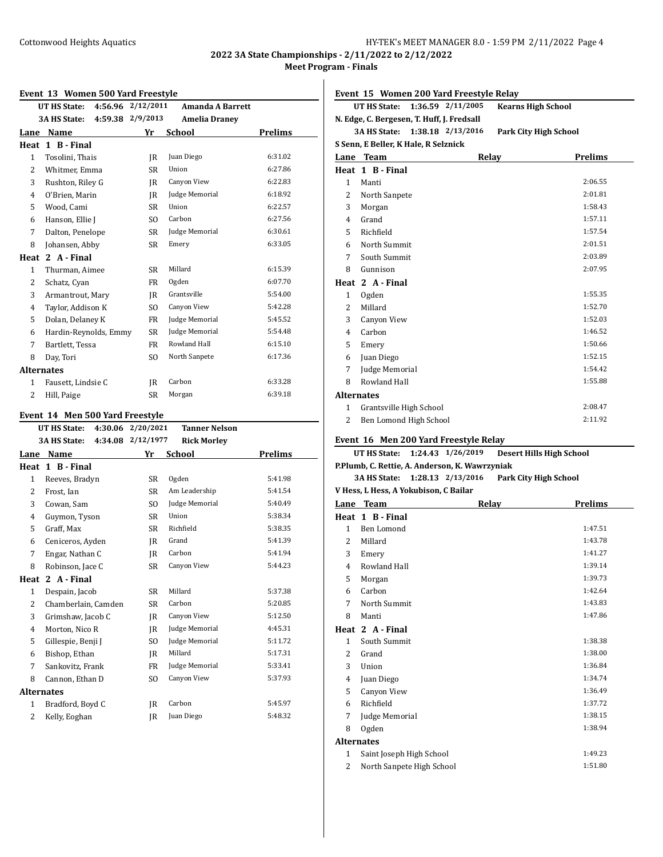**2022 3A State Championships - 2/11/2022 to 2/12/2022 Meet Program - Finals**

#### **Event 13 Women 500 Yard Freestyle**

| Event 15 women 500 faid rieestyle |           |                                           |                                    |
|-----------------------------------|-----------|-------------------------------------------|------------------------------------|
| UT HS State:                      |           | <b>Amanda A Barrett</b>                   |                                    |
| <b>3A HS State:</b>               |           | <b>Amelia Draney</b>                      |                                    |
| Name<br>Lane                      | Yr        |                                           | Prelims                            |
| 1 B - Final                       |           |                                           |                                    |
| Tosolini, Thais                   | IR        | Juan Diego                                | 6:31.02                            |
| Whitmer, Emma                     | SR        | Union                                     | 6:27.86                            |
| Rushton, Riley G                  | IR        | Canyon View                               | 6:22.83                            |
| O'Brien, Marin                    | IR        | Judge Memorial                            | 6:18.92                            |
| Wood, Cami                        | SR        | Union                                     | 6:22.57                            |
| Hanson, Ellie J                   | SO.       | Carbon                                    | 6:27.56                            |
| Dalton, Penelope                  | SR        | Judge Memorial                            | 6:30.61                            |
| Johansen, Abby                    | SR        | Emery                                     | 6:33.05                            |
| 2 A - Final<br>Heat               |           |                                           |                                    |
| Thurman, Aimee                    | <b>SR</b> | Millard                                   | 6:15.39                            |
| Schatz, Cyan                      | FR        | Ogden                                     | 6:07.70                            |
| Armantrout, Mary                  | IR        | Grantsville                               | 5:54.00                            |
| Taylor, Addison K                 | SO.       | Canyon View                               | 5:42.28                            |
| Dolan, Delaney K                  | <b>FR</b> | Judge Memorial                            | 5:45.52                            |
|                                   | SR        | Judge Memorial                            | 5:54.48                            |
| Bartlett, Tessa                   | FR        | Rowland Hall                              | 6:15.10                            |
| Day, Tori                         | SO.       | North Sanpete                             | 6:17.36                            |
| <b>Alternates</b>                 |           |                                           |                                    |
| Fausett, Lindsie C                | IR        | Carbon                                    | 6:33.28                            |
| Hill, Paige                       | <b>SR</b> | Morgan                                    | 6:39.18                            |
|                                   |           | 4:59.38 2/9/2013<br>Hardin-Reynolds, Emmy | 4:56.96 2/12/2011<br><b>School</b> |

### **Event 14 Men 500 Yard Freestyle**

| <b>UT HS State:</b> |                                                                                                                                                                      | <b>Tanner Nelson</b> |                        |
|---------------------|----------------------------------------------------------------------------------------------------------------------------------------------------------------------|----------------------|------------------------|
| <b>3A HS State:</b> |                                                                                                                                                                      | <b>Rick Morley</b>   |                        |
| Name                | Yr                                                                                                                                                                   | School               | Prelims                |
| 1 B - Final         |                                                                                                                                                                      |                      |                        |
| Reeves, Bradyn      | <b>SR</b>                                                                                                                                                            | Ogden                | 5:41.98                |
| Frost, Ian          | <b>SR</b>                                                                                                                                                            | Am Leadership        | 5:41.54                |
| Cowan, Sam          | SO.                                                                                                                                                                  | Judge Memorial       | 5:40.49                |
| Guymon, Tyson       | <b>SR</b>                                                                                                                                                            | Union                | 5:38.34                |
| Graff, Max          | <b>SR</b>                                                                                                                                                            | Richfield            | 5:38.35                |
| Ceniceros, Ayden    | IR                                                                                                                                                                   | Grand                | 5:41.39                |
| Engar, Nathan C     | IR                                                                                                                                                                   | Carbon               | 5:41.94                |
| Robinson, Jace C    | <b>SR</b>                                                                                                                                                            | Canyon View          | 5:44.23                |
| 2 A - Final         |                                                                                                                                                                      |                      |                        |
| Despain, Jacob      | <b>SR</b>                                                                                                                                                            | Millard              | 5:37.38                |
| Chamberlain, Camden | SR                                                                                                                                                                   | Carbon               | 5:20.85                |
| Grimshaw, Jacob C   | IR                                                                                                                                                                   | Canyon View          | 5:12.50                |
| Morton, Nico R      | IR                                                                                                                                                                   | Judge Memorial       | 4:45.31                |
| Gillespie, Benji J  | S <sub>O</sub>                                                                                                                                                       | Judge Memorial       | 5:11.72                |
| Bishop, Ethan       | IR                                                                                                                                                                   | Millard              | 5:17.31                |
| Sankovitz, Frank    | FR                                                                                                                                                                   | Judge Memorial       | 5:33.41                |
| Cannon, Ethan D     | S <sub>O</sub>                                                                                                                                                       | Canyon View          | 5:37.93                |
|                     |                                                                                                                                                                      |                      |                        |
| Bradford, Boyd C    | IR                                                                                                                                                                   | Carbon               | 5:45.97                |
| Kelly, Eoghan       | IR                                                                                                                                                                   | Juan Diego           | 5:48.32                |
|                     | Lane<br>Heat<br>$\mathbf{1}$<br>2<br>3<br>4<br>5<br>6<br>7<br>8<br>Heat<br>$\mathbf{1}$<br>2<br>3<br>4<br>5<br>6<br>7<br>8<br><b>Alternates</b><br>$\mathbf{1}$<br>2 | 4:30.06<br>4:34.08   | 2/20/2021<br>2/12/1977 |

**Event 15 Women 200 Yard Freestyle Relay**

|                                                                          | UT HS State:                               | 1:36.59 2/11/2005 | <b>Kearns High School</b> |  |  |  |
|--------------------------------------------------------------------------|--------------------------------------------|-------------------|---------------------------|--|--|--|
|                                                                          | N. Edge, C. Bergesen, T. Huff, J. Fredsall |                   |                           |  |  |  |
| <b>3A HS State:</b><br>1:38.18 2/13/2016<br><b>Park City High School</b> |                                            |                   |                           |  |  |  |
|                                                                          | S Senn, E Beller, K Hale, R Selznick       |                   |                           |  |  |  |
|                                                                          | Lane Team                                  | Relay             | <b>Prelims</b>            |  |  |  |
|                                                                          | Heat 1 B - Final                           |                   |                           |  |  |  |
| 1                                                                        | Manti                                      |                   | 2:06.55                   |  |  |  |
| 2                                                                        | North Sanpete                              |                   | 2:01.81                   |  |  |  |
| 3                                                                        | Morgan                                     |                   | 1:58.43                   |  |  |  |
| $\overline{4}$                                                           | Grand                                      |                   | 1:57.11                   |  |  |  |
| 5                                                                        | Richfield                                  |                   | 1:57.54                   |  |  |  |
| 6                                                                        | North Summit                               |                   | 2:01.51                   |  |  |  |
| 7                                                                        | South Summit                               |                   | 2:03.89                   |  |  |  |
| 8                                                                        | Gunnison                                   |                   | 2:07.95                   |  |  |  |
|                                                                          | Heat 2 A - Final                           |                   |                           |  |  |  |
| $\mathbf{1}$                                                             | Ogden                                      |                   | 1:55.35                   |  |  |  |
| $\overline{c}$                                                           | Millard                                    |                   | 1:52.70                   |  |  |  |
| 3                                                                        | Canyon View                                |                   | 1:52.03                   |  |  |  |
| 4                                                                        | Carbon                                     |                   | 1:46.52                   |  |  |  |
| 5                                                                        | Emery                                      |                   | 1:50.66                   |  |  |  |
| 6                                                                        | Juan Diego                                 |                   | 1:52.15                   |  |  |  |
| 7                                                                        | Judge Memorial                             |                   | 1:54.42                   |  |  |  |
| 8                                                                        | Rowland Hall                               |                   | 1:55.88                   |  |  |  |
| <b>Alternates</b>                                                        |                                            |                   |                           |  |  |  |
| 1                                                                        | Grantsville High School                    |                   | 2:08.47                   |  |  |  |
| $\overline{c}$                                                           | Ben Lomond High School                     |                   | 2:11.92                   |  |  |  |
|                                                                          |                                            |                   |                           |  |  |  |

### **Event 16 Men 200 Yard Freestyle Relay**

|                                                | UT HS State: 1:24.43 1/26/2019 |       | <b>Desert Hills High School</b> |  |  |
|------------------------------------------------|--------------------------------|-------|---------------------------------|--|--|
| P.Plumb, C. Rettie, A. Anderson, K. Wawrzyniak |                                |       |                                 |  |  |
|                                                | 3A HS State: 1:28.13 2/13/2016 |       | <b>Park City High School</b>    |  |  |
| V Hess, L Hess, A Yokubison, C Bailar          |                                |       |                                 |  |  |
|                                                | Lane Team                      | Relay | <b>Prelims</b>                  |  |  |
|                                                | Heat 1 B-Final                 |       |                                 |  |  |
| $\mathbf{1}$                                   | Ben Lomond                     |       | 1:47.51                         |  |  |
| 2                                              | Millard                        |       | 1:43.78                         |  |  |
| 3                                              | Emery                          |       | 1:41.27                         |  |  |
| 4                                              | Rowland Hall                   |       | 1:39.14                         |  |  |
| 5                                              | Morgan                         |       | 1:39.73                         |  |  |
| 6                                              | Carbon                         |       | 1:42.64                         |  |  |
| 7                                              | North Summit                   |       | 1:43.83                         |  |  |
| 8                                              | Manti                          |       | 1:47.86                         |  |  |
|                                                | Heat 2 A-Final                 |       |                                 |  |  |
| $\mathbf{1}$                                   | South Summit                   |       | 1:38.38                         |  |  |
| $\overline{\mathcal{L}}$                       | Grand                          |       | 1:38.00                         |  |  |
| 3                                              | Union                          |       | 1:36.84                         |  |  |
| 4                                              | Juan Diego                     |       | 1:34.74                         |  |  |
| 5                                              | Canyon View                    |       | 1:36.49                         |  |  |
| 6                                              | Richfield                      |       | 1:37.72                         |  |  |
| 7                                              | Judge Memorial                 |       | 1:38.15                         |  |  |

# **Alternates**

| 1 Saint Joseph High School  | 1:49.23 |
|-----------------------------|---------|
| 2 North Sanpete High School | 1:51.80 |

8 Ogden 1:38.94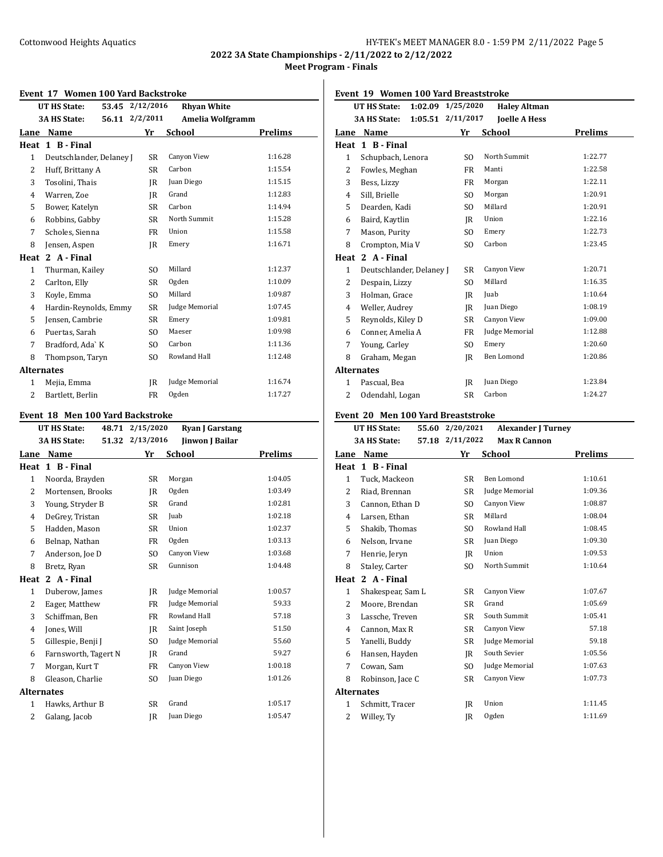**2022 3A State Championships - 2/11/2022 to 2/12/2022 Meet Program - Finals**

#### **Event 17 Women 100 Yard Backstroke**

| Event 17 Women Too rard Backsupke |                          |  |                 |                    |         |
|-----------------------------------|--------------------------|--|-----------------|--------------------|---------|
|                                   | UT HS State:             |  | 53.45 2/12/2016 | <b>Rhyan White</b> |         |
|                                   | <b>3A HS State:</b>      |  | 56.11 2/2/2011  | Amelia Wolfgramm   |         |
| Lane                              | Name                     |  | Yr              | <b>School</b>      | Prelims |
| Heat                              | 1 B - Final              |  |                 |                    |         |
| 1                                 | Deutschlander, Delaney J |  | SR              | Canyon View        | 1:16.28 |
| 2                                 | Huff, Brittany A         |  | <b>SR</b>       | Carbon             | 1:15.54 |
| 3                                 | Tosolini, Thais          |  | IR              | Juan Diego         | 1:15.15 |
| 4                                 | Warren, Zoe              |  | IR              | Grand              | 1:12.83 |
| 5                                 | Bower, Katelyn           |  | SR              | Carbon             | 1:14.94 |
| 6                                 | Robbins, Gabby           |  | SR              | North Summit       | 1:15.28 |
| 7                                 | Scholes, Sienna          |  | FR              | Union              | 1:15.58 |
| 8                                 | Jensen, Aspen            |  | IR              | Emery              | 1:16.71 |
| Heat                              | 2 A - Final              |  |                 |                    |         |
| $\mathbf{1}$                      | Thurman, Kailey          |  | SO.             | Millard            | 1:12.37 |
| $\overline{c}$                    | Carlton, Elly            |  | <b>SR</b>       | Ogden              | 1:10.09 |
| 3                                 | Koyle, Emma              |  | SO.             | Millard            | 1:09.87 |
| $\overline{4}$                    | Hardin-Reynolds, Emmy    |  | <b>SR</b>       | Judge Memorial     | 1:07.45 |
| 5                                 | Jensen, Cambrie          |  | SR              | Emery              | 1:09.81 |
| 6                                 | Puertas, Sarah           |  | SO.             | Maeser             | 1:09.98 |
| 7                                 | Bradford, Ada` K         |  | SO.             | Carbon             | 1:11.36 |
| 8                                 | Thompson, Taryn          |  | SO.             | Rowland Hall       | 1:12.48 |
| <b>Alternates</b>                 |                          |  |                 |                    |         |
| 1                                 | Mejia, Emma              |  | IR              | Judge Memorial     | 1:16.74 |
| 2                                 | Bartlett, Berlin         |  | FR              | Ogden              | 1:17.27 |

### **Event 18 Men 100 Yard Backstroke**

|                | UT HS State:<br>48.71        | 2/15/2020      | <b>Ryan J Garstang</b> |         |
|----------------|------------------------------|----------------|------------------------|---------|
|                | <b>3A HS State:</b><br>51.32 | 2/13/2016      | <b>Jinwon J Bailar</b> |         |
| Lane           | Name                         | Yr             | School                 | Prelims |
| Heat           | 1 B - Final                  |                |                        |         |
| $\mathbf{1}$   | Noorda, Brayden              | SR             | Morgan                 | 1:04.05 |
| 2              | Mortensen, Brooks            | IR             | Ogden                  | 1:03.49 |
| 3              | Young, Stryder B             | SR             | Grand                  | 1:02.81 |
| 4              | DeGrey, Tristan              | SR             | Juab                   | 1:02.18 |
| 5              | Hadden, Mason                | SR             | Union                  | 1:02.37 |
| 6              | Belnap, Nathan               | FR             | Ogden                  | 1:03.13 |
| 7              | Anderson, Joe D              | S <sub>0</sub> | Canyon View            | 1:03.68 |
| 8              | Bretz, Ryan                  | SR             | Gunnison               | 1:04.48 |
| Heat           | 2 A - Final                  |                |                        |         |
| $\mathbf{1}$   | Duberow, James               | IR             | Judge Memorial         | 1:00.57 |
| 2              | Eager, Matthew               | FR             | Judge Memorial         | 59.33   |
| 3              | Schiffman, Ben               | <b>FR</b>      | Rowland Hall           | 57.18   |
| $\overline{4}$ | Jones, Will                  | IR             | Saint Joseph           | 51.50   |
| 5              | Gillespie, Benji J           | S <sub>O</sub> | Judge Memorial         | 55.60   |
| 6              | Farnsworth, Tagert N         | IR             | Grand                  | 59.27   |
| 7              | Morgan, Kurt T               | FR             | Canyon View            | 1:00.18 |
| 8              | Gleason, Charlie             | S <sub>O</sub> | Juan Diego             | 1:01.26 |
|                | <b>Alternates</b>            |                |                        |         |
| $\mathbf{1}$   | Hawks, Arthur B              | SR             | Grand                  | 1:05.17 |
| 2              | Galang, Jacob                | IR             | Juan Diego             | 1:05.47 |
|                |                              |                |                        |         |

**Event 19 Women 100 Yard Breaststroke**

|              | 1:02.09<br>UT HS State:        | 1/25/2020 | <b>Haley Altman</b>  |                |
|--------------|--------------------------------|-----------|----------------------|----------------|
|              | 1:05.51<br><b>3A HS State:</b> | 2/11/2017 | <b>Joelle A Hess</b> |                |
| Lane         | <b>Name</b>                    | Yr        | <b>School</b>        | <b>Prelims</b> |
| Heat         | 1 B - Final                    |           |                      |                |
| $\mathbf{1}$ | Schupbach, Lenora              | SO.       | North Summit         | 1:22.77        |
| 2            | Fowles, Meghan                 | FR        | Manti                | 1:22.58        |
| 3            | Bess, Lizzy                    | <b>FR</b> | Morgan               | 1:22.11        |
| 4            | Sill, Brielle                  | SO.       | Morgan               | 1:20.91        |
| 5            | Dearden, Kadi                  | SO.       | Millard              | 1:20.91        |
| 6            | Baird, Kaytlin                 | IR        | Union                | 1:22.16        |
| 7            | Mason, Purity                  | SO.       | Emery                | 1:22.73        |
| 8            | Crompton, Mia V                | SO.       | Carbon               | 1:23.45        |
| Heat         | 2 A - Final                    |           |                      |                |
| $\mathbf{1}$ | Deutschlander, Delaney J       | <b>SR</b> | Canyon View          | 1:20.71        |
| 2            | Despain, Lizzy                 | SO.       | Millard              | 1:16.35        |
| 3            | Holman, Grace                  | IR        | Juab                 | 1:10.64        |
| 4            | Weller, Audrey                 | IR        | Juan Diego           | 1:08.19        |
| 5            | Reynolds, Kiley D              | <b>SR</b> | Canyon View          | 1:09.00        |
| 6            | Conner, Amelia A               | FR        | Judge Memorial       | 1:12.88        |
| 7            | Young, Carley                  | SO.       | Emery                | 1:20.60        |
| 8            | Graham, Megan                  | IR        | <b>Ben Lomond</b>    | 1:20.86        |
|              | <b>Alternates</b>              |           |                      |                |
| $\mathbf{1}$ | Pascual, Bea                   | IR        | Juan Diego           | 1:23.84        |
| 2            | Odendahl, Logan                | <b>SR</b> | Carbon               | 1:24.27        |
|              |                                |           |                      |                |

### **Event 20 Men 100 Yard Breaststroke**

|                | <b>UT HS State:</b> | 55.60 | 2/20/2021      | <b>Alexander J Turney</b> |         |
|----------------|---------------------|-------|----------------|---------------------------|---------|
|                | 3A HS State:        | 57.18 | 2/11/2022      | <b>Max R Cannon</b>       |         |
| Lane           | Name                |       | Yr             | School                    | Prelims |
| Heat           | 1 B - Final         |       |                |                           |         |
| $\mathbf{1}$   | Tuck, Mackeon       |       | SR             | <b>Ben Lomond</b>         | 1:10.61 |
| $\overline{2}$ | Riad, Brennan       |       | <b>SR</b>      | Judge Memorial            | 1:09.36 |
| 3              | Cannon, Ethan D     |       | SO.            | Canyon View               | 1:08.87 |
| 4              | Larsen, Ethan       |       | SR             | Millard                   | 1:08.04 |
| 5              | Shakib, Thomas      |       | SO.            | Rowland Hall              | 1:08.45 |
| 6              | Nelson, Irvane      |       | SR             | Juan Diego                | 1:09.30 |
| 7              | Henrie, Jeryn       |       | IR             | Union                     | 1:09.53 |
| 8              | Staley, Carter      |       | S <sub>O</sub> | North Summit              | 1:10.64 |
| Heat           | 2 A - Final         |       |                |                           |         |
| $\mathbf{1}$   | Shakespear, Sam L   |       | <b>SR</b>      | Canyon View               | 1:07.67 |
| 2              | Moore, Brendan      |       | SR             | Grand                     | 1:05.69 |
| 3              | Lassche, Treven     |       | <b>SR</b>      | South Summit              | 1:05.41 |
| 4              | Cannon, Max R       |       | SR             | Canyon View               | 57.18   |
| 5              | Yanelli, Buddy      |       | <b>SR</b>      | Judge Memorial            | 59.18   |
| 6              | Hansen, Hayden      |       | IR             | South Sevier              | 1:05.56 |
| 7              | Cowan, Sam          |       | SO.            | Judge Memorial            | 1:07.63 |
| 8              | Robinson, Jace C    |       | SR             | Canyon View               | 1:07.73 |
|                | <b>Alternates</b>   |       |                |                           |         |
| 1              | Schmitt, Tracer     |       | IR             | Union                     | 1:11.45 |
| 2              | Willey, Ty          |       | IR             | Ogden                     | 1:11.69 |
|                |                     |       |                |                           |         |